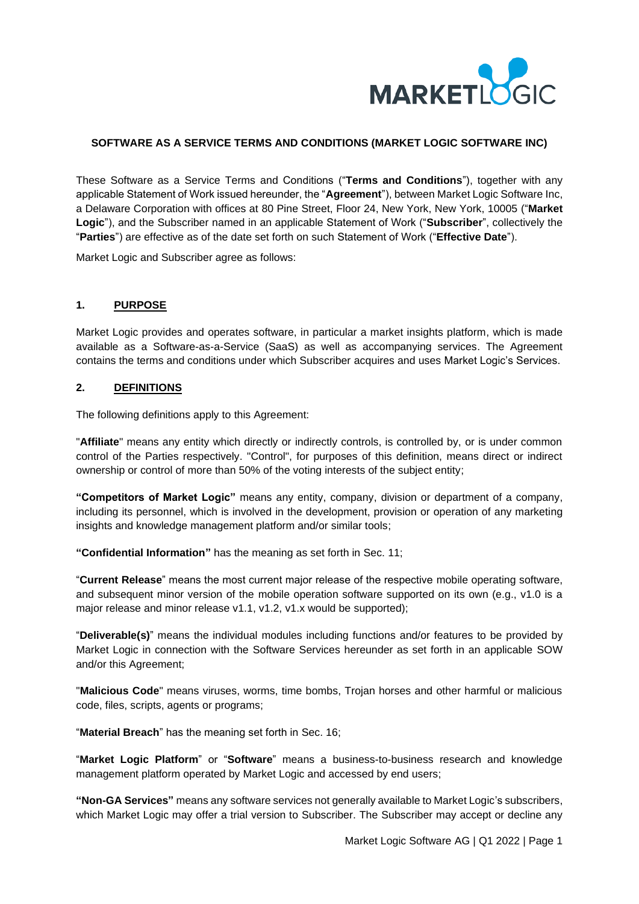

## **SOFTWARE AS A SERVICE TERMS AND CONDITIONS (MARKET LOGIC SOFTWARE INC)**

These Software as a Service Terms and Conditions ("**Terms and Conditions**"), together with any applicable Statement of Work issued hereunder, the "**Agreement**"), between Market Logic Software Inc, a Delaware Corporation with offices at 80 Pine Street, Floor 24, New York, New York, 10005 ("**Market Logic**"), and the Subscriber named in an applicable Statement of Work ("**Subscriber**", collectively the "**Parties**") are effective as of the date set forth on such Statement of Work ("**Effective Date**").

Market Logic and Subscriber agree as follows:

### **1. PURPOSE**

Market Logic provides and operates software, in particular a market insights platform, which is made available as a Software-as-a-Service (SaaS) as well as accompanying services. The Agreement contains the terms and conditions under which Subscriber acquires and uses Market Logic's Services.

### **2. DEFINITIONS**

The following definitions apply to this Agreement:

"**Affiliate**" means any entity which directly or indirectly controls, is controlled by, or is under common control of the Parties respectively. "Control", for purposes of this definition, means direct or indirect ownership or control of more than 50% of the voting interests of the subject entity;

**"Competitors of Market Logic"** means any entity, company, division or department of a company, including its personnel, which is involved in the development, provision or operation of any marketing insights and knowledge management platform and/or similar tools;

**"Confidential Information"** has the meaning as set forth in Sec. 11;

"**Current Release**" means the most current major release of the respective mobile operating software, and subsequent minor version of the mobile operation software supported on its own (e.g., v1.0 is a major release and minor release v1.1, v1.2, v1.x would be supported);

"**Deliverable(s)**" means the individual modules including functions and/or features to be provided by Market Logic in connection with the Software Services hereunder as set forth in an applicable SOW and/or this Agreement;

"**Malicious Code**" means viruses, worms, time bombs, Trojan horses and other harmful or malicious code, files, scripts, agents or programs;

"**Material Breach**" has the meaning set forth in Sec. 16;

"**Market Logic Platform**" or "**Software**" means a business-to-business research and knowledge management platform operated by Market Logic and accessed by end users;

**"Non-GA Services"** means any software services not generally available to Market Logic's subscribers, which Market Logic may offer a trial version to Subscriber. The Subscriber may accept or decline any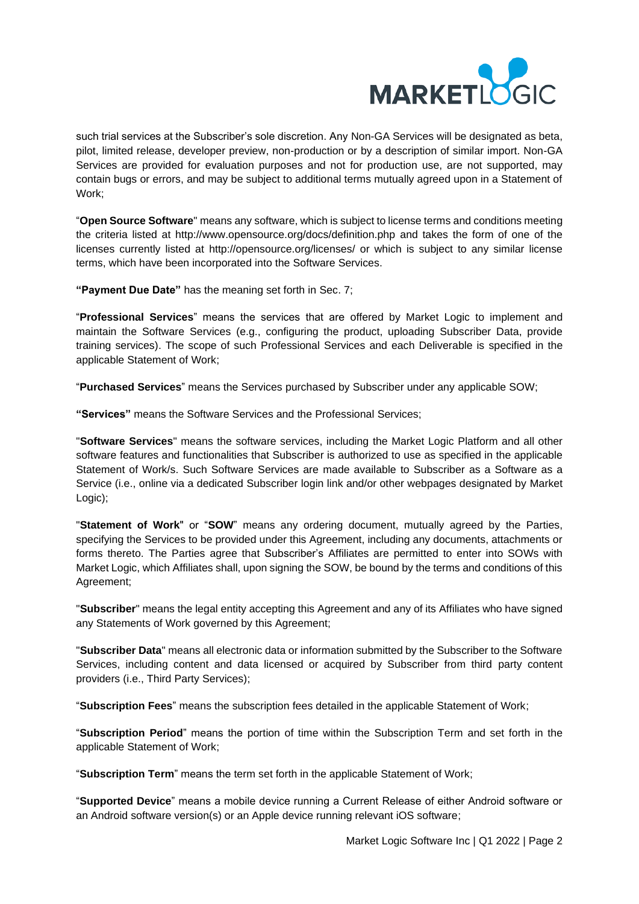

such trial services at the Subscriber's sole discretion. Any Non-GA Services will be designated as beta, pilot, limited release, developer preview, non-production or by a description of similar import. Non-GA Services are provided for evaluation purposes and not for production use, are not supported, may contain bugs or errors, and may be subject to additional terms mutually agreed upon in a Statement of Work;

"**Open Source Software**" means any software, which is subject to license terms and conditions meeting the criteria listed at<http://www.opensource.org/docs/definition.php> and takes the form of one of the licenses currently listed at<http://opensource.org/licenses/> or which is subject to any similar license terms, which have been incorporated into the Software Services.

**"Payment Due Date"** has the meaning set forth in Sec. 7;

"**Professional Services**" means the services that are offered by Market Logic to implement and maintain the Software Services (e.g., configuring the product, uploading Subscriber Data, provide training services). The scope of such Professional Services and each Deliverable is specified in the applicable Statement of Work;

"**Purchased Services**" means the Services purchased by Subscriber under any applicable SOW;

**"Services"** means the Software Services and the Professional Services;

"**Software Services**" means the software services, including the Market Logic Platform and all other software features and functionalities that Subscriber is authorized to use as specified in the applicable Statement of Work/s. Such Software Services are made available to Subscriber as a Software as a Service (i.e., online via a dedicated Subscriber login link and/or other webpages designated by Market Logic);

"**Statement of Work**" or "**SOW**" means any ordering document, mutually agreed by the Parties, specifying the Services to be provided under this Agreement, including any documents, attachments or forms thereto. The Parties agree that Subscriber's Affiliates are permitted to enter into SOWs with Market Logic, which Affiliates shall, upon signing the SOW, be bound by the terms and conditions of this Agreement;

"**Subscriber**" means the legal entity accepting this Agreement and any of its Affiliates who have signed any Statements of Work governed by this Agreement;

"**Subscriber Data**" means all electronic data or information submitted by the Subscriber to the Software Services, including content and data licensed or acquired by Subscriber from third party content providers (i.e., Third Party Services);

"**Subscription Fees**" means the subscription fees detailed in the applicable Statement of Work;

"**Subscription Period**" means the portion of time within the Subscription Term and set forth in the applicable Statement of Work;

"**Subscription Term**" means the term set forth in the applicable Statement of Work;

"**Supported Device**" means a mobile device running a Current Release of either Android software or an Android software version(s) or an Apple device running relevant iOS software;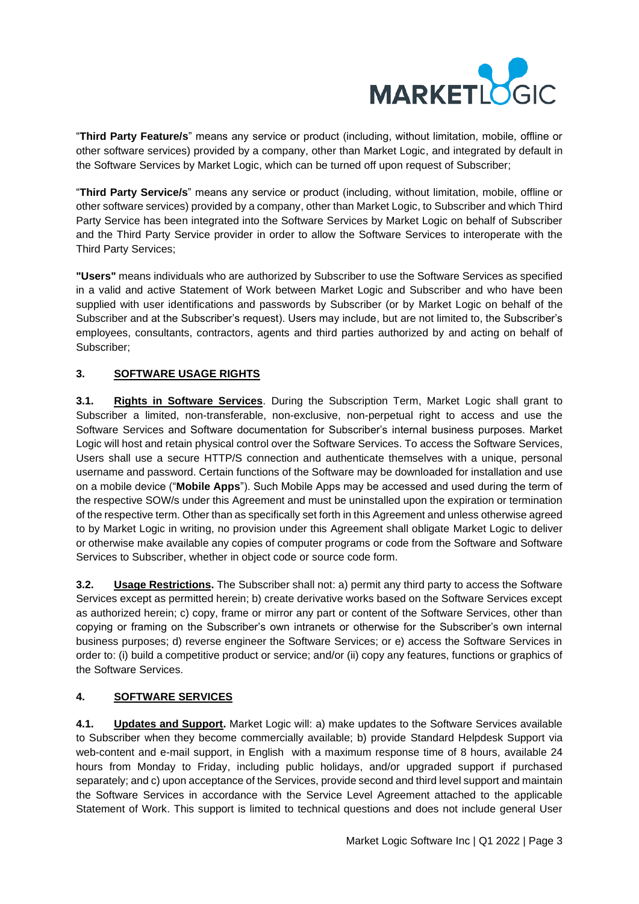

"**Third Party Feature/s**" means any service or product (including, without limitation, mobile, offline or other software services) provided by a company, other than Market Logic, and integrated by default in the Software Services by Market Logic, which can be turned off upon request of Subscriber;

"**Third Party Service/s**" means any service or product (including, without limitation, mobile, offline or other software services) provided by a company, other than Market Logic, to Subscriber and which Third Party Service has been integrated into the Software Services by Market Logic on behalf of Subscriber and the Third Party Service provider in order to allow the Software Services to interoperate with the Third Party Services;

**"Users"** means individuals who are authorized by Subscriber to use the Software Services as specified in a valid and active Statement of Work between Market Logic and Subscriber and who have been supplied with user identifications and passwords by Subscriber (or by Market Logic on behalf of the Subscriber and at the Subscriber's request). Users may include, but are not limited to, the Subscriber's employees, consultants, contractors, agents and third parties authorized by and acting on behalf of Subscriber;

# **3. SOFTWARE USAGE RIGHTS**

**3.1. Rights in Software Services**. During the Subscription Term, Market Logic shall grant to Subscriber a limited, non-transferable, non-exclusive, non-perpetual right to access and use the Software Services and Software documentation for Subscriber's internal business purposes. Market Logic will host and retain physical control over the Software Services. To access the Software Services, Users shall use a secure HTTP/S connection and authenticate themselves with a unique, personal username and password. Certain functions of the Software may be downloaded for installation and use on a mobile device ("**Mobile Apps**"). Such Mobile Apps may be accessed and used during the term of the respective SOW/s under this Agreement and must be uninstalled upon the expiration or termination of the respective term. Other than as specifically set forth in this Agreement and unless otherwise agreed to by Market Logic in writing, no provision under this Agreement shall obligate Market Logic to deliver or otherwise make available any copies of computer programs or code from the Software and Software Services to Subscriber, whether in object code or source code form.

**3.2. Usage Restrictions.** The Subscriber shall not: a) permit any third party to access the Software Services except as permitted herein; b) create derivative works based on the Software Services except as authorized herein; c) copy, frame or mirror any part or content of the Software Services, other than copying or framing on the Subscriber's own intranets or otherwise for the Subscriber's own internal business purposes; d) reverse engineer the Software Services; or e) access the Software Services in order to: (i) build a competitive product or service; and/or (ii) copy any features, functions or graphics of the Software Services.

# **4. SOFTWARE SERVICES**

**4.1. Updates and Support.** Market Logic will: a) make updates to the Software Services available to Subscriber when they become commercially available; b) provide Standard Helpdesk Support via web-content and e-mail support, in English with a maximum response time of 8 hours, available 24 hours from Monday to Friday, including public holidays, and/or upgraded support if purchased separately; and c) upon acceptance of the Services, provide second and third level support and maintain the Software Services in accordance with the Service Level Agreement attached to the applicable Statement of Work. This support is limited to technical questions and does not include general User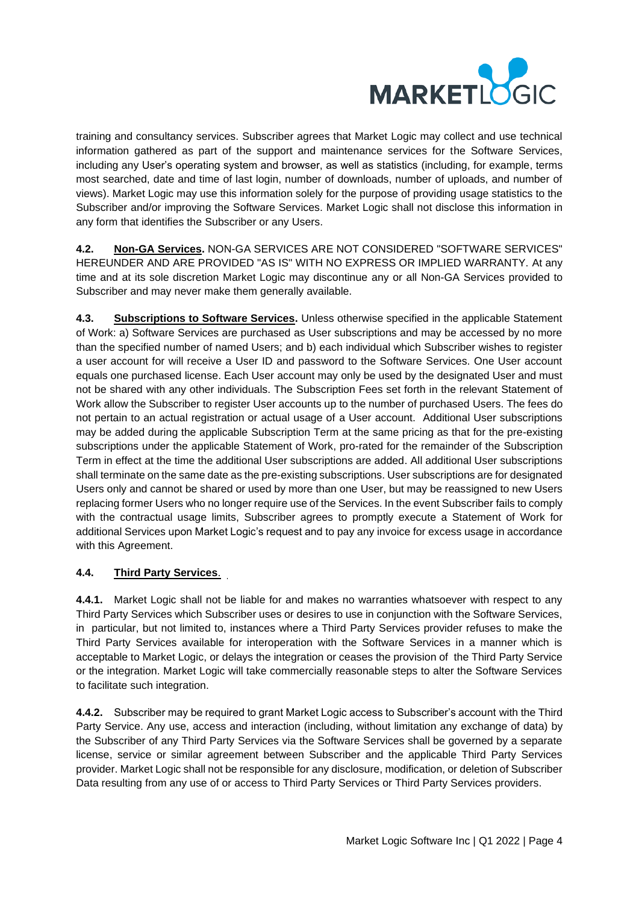

training and consultancy services. Subscriber agrees that Market Logic may collect and use technical information gathered as part of the support and maintenance services for the Software Services, including any User's operating system and browser, as well as statistics (including, for example, terms most searched, date and time of last login, number of downloads, number of uploads, and number of views). Market Logic may use this information solely for the purpose of providing usage statistics to the Subscriber and/or improving the Software Services. Market Logic shall not disclose this information in any form that identifies the Subscriber or any Users.

**4.2. Non-GA Services.** NON-GA SERVICES ARE NOT CONSIDERED "SOFTWARE SERVICES" HEREUNDER AND ARE PROVIDED "AS IS" WITH NO EXPRESS OR IMPLIED WARRANTY. At any time and at its sole discretion Market Logic may discontinue any or all Non-GA Services provided to Subscriber and may never make them generally available.

**4.3. Subscriptions to Software Services.** Unless otherwise specified in the applicable Statement of Work: a) Software Services are purchased as User subscriptions and may be accessed by no more than the specified number of named Users; and b) each individual which Subscriber wishes to register a user account for will receive a User ID and password to the Software Services. One User account equals one purchased license. Each User account may only be used by the designated User and must not be shared with any other individuals. The Subscription Fees set forth in the relevant Statement of Work allow the Subscriber to register User accounts up to the number of purchased Users. The fees do not pertain to an actual registration or actual usage of a User account. Additional User subscriptions may be added during the applicable Subscription Term at the same pricing as that for the pre-existing subscriptions under the applicable Statement of Work, pro-rated for the remainder of the Subscription Term in effect at the time the additional User subscriptions are added. All additional User subscriptions shall terminate on the same date as the pre-existing subscriptions. User subscriptions are for designated Users only and cannot be shared or used by more than one User, but may be reassigned to new Users replacing former Users who no longer require use of the Services. In the event Subscriber fails to comply with the contractual usage limits, Subscriber agrees to promptly execute a Statement of Work for additional Services upon Market Logic's request and to pay any invoice for excess usage in accordance with this Agreement.

# **4.4. Third Party Services**.

**4.4.1.** Market Logic shall not be liable for and makes no warranties whatsoever with respect to any Third Party Services which Subscriber uses or desires to use in conjunction with the Software Services, in particular, but not limited to, instances where a Third Party Services provider refuses to make the Third Party Services available for interoperation with the Software Services in a manner which is acceptable to Market Logic, or delays the integration or ceases the provision of the Third Party Service or the integration. Market Logic will take commercially reasonable steps to alter the Software Services to facilitate such integration.

**4.4.2.** Subscriber may be required to grant Market Logic access to Subscriber's account with the Third Party Service. Any use, access and interaction (including, without limitation any exchange of data) by the Subscriber of any Third Party Services via the Software Services shall be governed by a separate license, service or similar agreement between Subscriber and the applicable Third Party Services provider. Market Logic shall not be responsible for any disclosure, modification, or deletion of Subscriber Data resulting from any use of or access to Third Party Services or Third Party Services providers.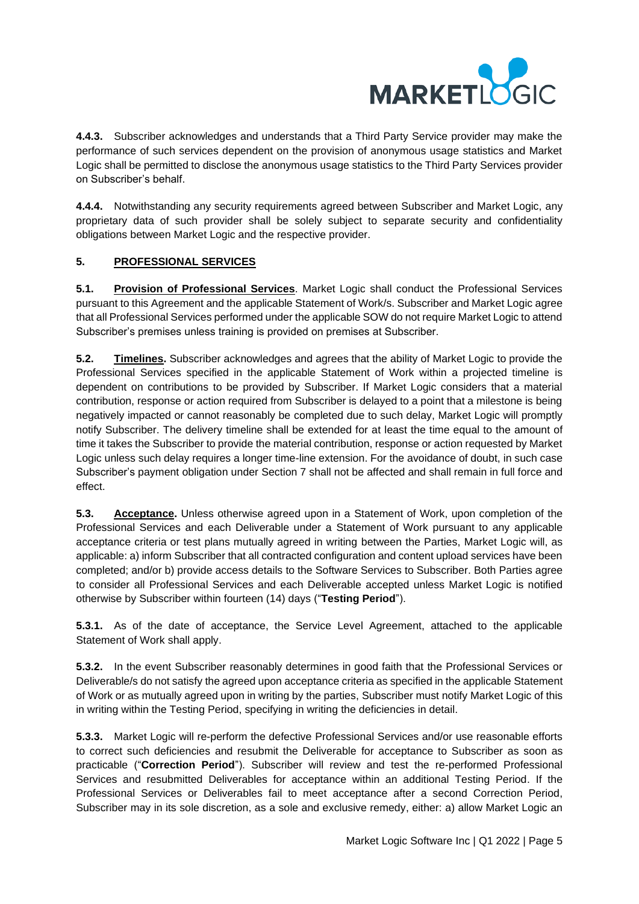

**4.4.3.** Subscriber acknowledges and understands that a Third Party Service provider may make the performance of such services dependent on the provision of anonymous usage statistics and Market Logic shall be permitted to disclose the anonymous usage statistics to the Third Party Services provider on Subscriber's behalf.

**4.4.4.** Notwithstanding any security requirements agreed between Subscriber and Market Logic, any proprietary data of such provider shall be solely subject to separate security and confidentiality obligations between Market Logic and the respective provider.

# **5. PROFESSIONAL SERVICES**

**5.1. Provision of Professional Services**. Market Logic shall conduct the Professional Services pursuant to this Agreement and the applicable Statement of Work/s. Subscriber and Market Logic agree that all Professional Services performed under the applicable SOW do not require Market Logic to attend Subscriber's premises unless training is provided on premises at Subscriber.

**5.2. Timelines.** Subscriber acknowledges and agrees that the ability of Market Logic to provide the Professional Services specified in the applicable Statement of Work within a projected timeline is dependent on contributions to be provided by Subscriber. If Market Logic considers that a material contribution, response or action required from Subscriber is delayed to a point that a milestone is being negatively impacted or cannot reasonably be completed due to such delay, Market Logic will promptly notify Subscriber. The delivery timeline shall be extended for at least the time equal to the amount of time it takes the Subscriber to provide the material contribution, response or action requested by Market Logic unless such delay requires a longer time-line extension. For the avoidance of doubt, in such case Subscriber's payment obligation under Section 7 shall not be affected and shall remain in full force and effect.

**5.3. Acceptance.** Unless otherwise agreed upon in a Statement of Work, upon completion of the Professional Services and each Deliverable under a Statement of Work pursuant to any applicable acceptance criteria or test plans mutually agreed in writing between the Parties, Market Logic will, as applicable: a) inform Subscriber that all contracted configuration and content upload services have been completed; and/or b) provide access details to the Software Services to Subscriber. Both Parties agree to consider all Professional Services and each Deliverable accepted unless Market Logic is notified otherwise by Subscriber within fourteen (14) days ("**Testing Period**").

**5.3.1.** As of the date of acceptance, the Service Level Agreement, attached to the applicable Statement of Work shall apply.

**5.3.2.** In the event Subscriber reasonably determines in good faith that the Professional Services or Deliverable/s do not satisfy the agreed upon acceptance criteria as specified in the applicable Statement of Work or as mutually agreed upon in writing by the parties, Subscriber must notify Market Logic of this in writing within the Testing Period, specifying in writing the deficiencies in detail.

**5.3.3.** Market Logic will re-perform the defective Professional Services and/or use reasonable efforts to correct such deficiencies and resubmit the Deliverable for acceptance to Subscriber as soon as practicable ("**Correction Period**"). Subscriber will review and test the re-performed Professional Services and resubmitted Deliverables for acceptance within an additional Testing Period. If the Professional Services or Deliverables fail to meet acceptance after a second Correction Period, Subscriber may in its sole discretion, as a sole and exclusive remedy, either: a) allow Market Logic an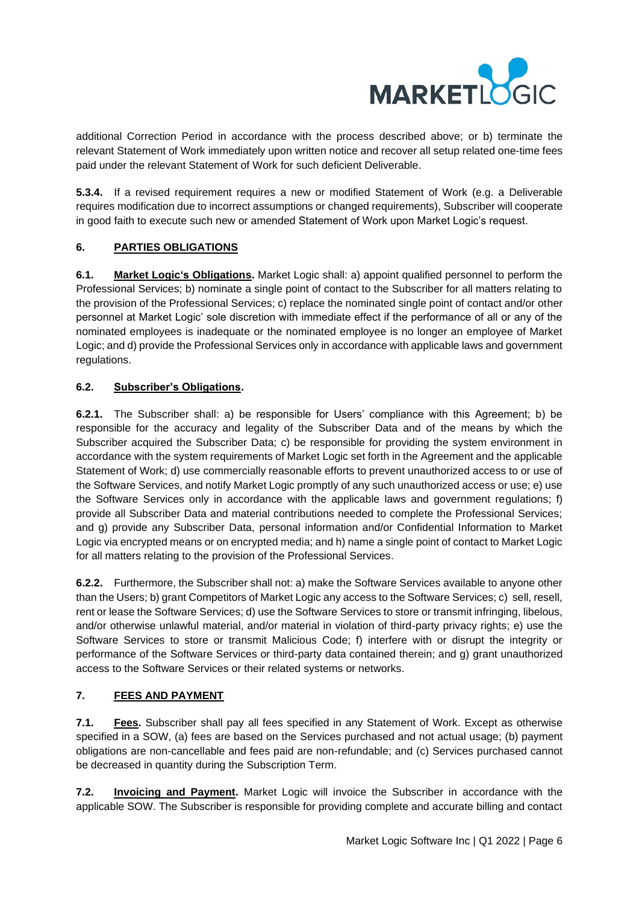

additional Correction Period in accordance with the process described above; or b) terminate the relevant Statement of Work immediately upon written notice and recover all setup related one-time fees paid under the relevant Statement of Work for such deficient Deliverable.

**5.3.4.** If a revised requirement requires a new or modified Statement of Work (e.g. a Deliverable requires modification due to incorrect assumptions or changed requirements), Subscriber will cooperate in good faith to execute such new or amended Statement of Work upon Market Logic's request.

# **6. PARTIES OBLIGATIONS**

**6.1. Market Logic's Obligations.** Market Logic shall: a) appoint qualified personnel to perform the Professional Services; b) nominate a single point of contact to the Subscriber for all matters relating to the provision of the Professional Services; c) replace the nominated single point of contact and/or other personnel at Market Logic' sole discretion with immediate effect if the performance of all or any of the nominated employees is inadequate or the nominated employee is no longer an employee of Market Logic; and d) provide the Professional Services only in accordance with applicable laws and government regulations.

## **6.2. Subscriber's Obligations.**

**6.2.1.** The Subscriber shall: a) be responsible for Users' compliance with this Agreement; b) be responsible for the accuracy and legality of the Subscriber Data and of the means by which the Subscriber acquired the Subscriber Data; c) be responsible for providing the system environment in accordance with the system requirements of Market Logic set forth in the Agreement and the applicable Statement of Work; d) use commercially reasonable efforts to prevent unauthorized access to or use of the Software Services, and notify Market Logic promptly of any such unauthorized access or use; e) use the Software Services only in accordance with the applicable laws and government regulations; f) provide all Subscriber Data and material contributions needed to complete the Professional Services; and g) provide any Subscriber Data, personal information and/or Confidential Information to Market Logic via encrypted means or on encrypted media; and h) name a single point of contact to Market Logic for all matters relating to the provision of the Professional Services.

**6.2.2.** Furthermore, the Subscriber shall not: a) make the Software Services available to anyone other than the Users; b) grant Competitors of Market Logic any access to the Software Services; c) sell, resell, rent or lease the Software Services; d) use the Software Services to store or transmit infringing, libelous, and/or otherwise unlawful material, and/or material in violation of third-party privacy rights; e) use the Software Services to store or transmit Malicious Code; f) interfere with or disrupt the integrity or performance of the Software Services or third-party data contained therein; and g) grant unauthorized access to the Software Services or their related systems or networks.

# **7. FEES AND PAYMENT**

<span id="page-5-0"></span>**7.1. Fees.** Subscriber shall pay all fees specified in any Statement of Work. Except as otherwise specified in a SOW, (a) fees are based on the Services purchased and not actual usage; (b) payment obligations are non-cancellable and fees paid are non-refundable; and (c) Services purchased cannot be decreased in quantity during the Subscription Term.

**7.2. Invoicing and Payment.** Market Logic will invoice the Subscriber in accordance with the applicable SOW. The Subscriber is responsible for providing complete and accurate billing and contact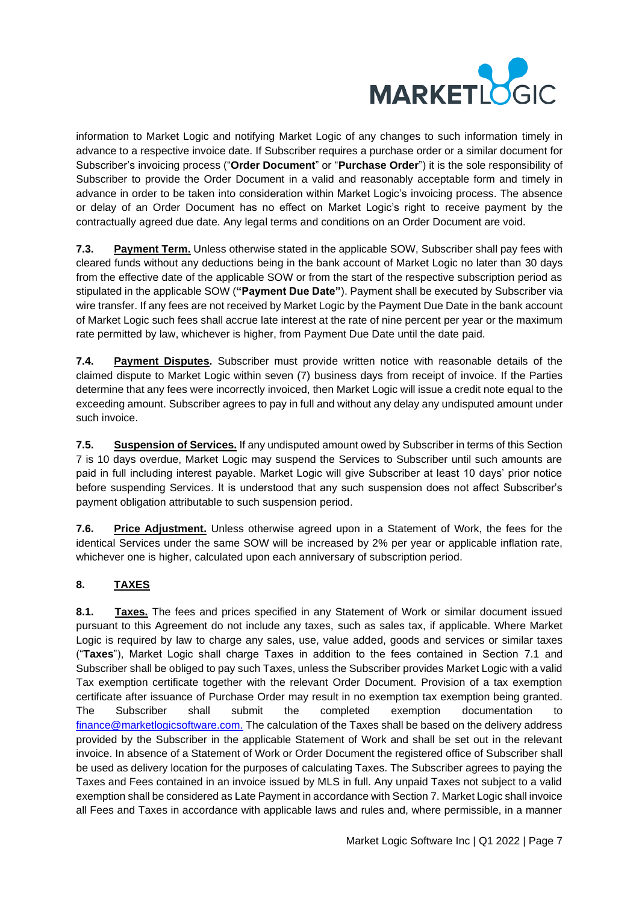

information to Market Logic and notifying Market Logic of any changes to such information timely in advance to a respective invoice date. If Subscriber requires a purchase order or a similar document for Subscriber's invoicing process ("**Order Document**" or "**Purchase Order**") it is the sole responsibility of Subscriber to provide the Order Document in a valid and reasonably acceptable form and timely in advance in order to be taken into consideration within Market Logic's invoicing process. The absence or delay of an Order Document has no effect on Market Logic's right to receive payment by the contractually agreed due date. Any legal terms and conditions on an Order Document are void.

**7.3. Payment Term.** Unless otherwise stated in the applicable SOW, Subscriber shall pay fees with cleared funds without any deductions being in the bank account of Market Logic no later than 30 days from the effective date of the applicable SOW or from the start of the respective subscription period as stipulated in the applicable SOW (**"Payment Due Date"**). Payment shall be executed by Subscriber via wire transfer. If any fees are not received by Market Logic by the Payment Due Date in the bank account of Market Logic such fees shall accrue late interest at the rate of nine percent per year or the maximum rate permitted by law, whichever is higher, from Payment Due Date until the date paid.

**7.4. Payment Disputes.** Subscriber must provide written notice with reasonable details of the claimed dispute to Market Logic within seven (7) business days from receipt of invoice. If the Parties determine that any fees were incorrectly invoiced, then Market Logic will issue a credit note equal to the exceeding amount. Subscriber agrees to pay in full and without any delay any undisputed amount under such invoice.

**7.5. Suspension of Services.** If any undisputed amount owed by Subscriber in terms of this Section 7 is 10 days overdue, Market Logic may suspend the Services to Subscriber until such amounts are paid in full including interest payable. Market Logic will give Subscriber at least 10 days' prior notice before suspending Services. It is understood that any such suspension does not affect Subscriber's payment obligation attributable to such suspension period.

**7.6. Price Adjustment.** Unless otherwise agreed upon in a Statement of Work, the fees for the identical Services under the same SOW will be increased by 2% per year or applicable inflation rate, whichever one is higher, calculated upon each anniversary of subscription period.

# **8. TAXES**

**8.1. Taxes.** The fees and prices specified in any Statement of Work or similar document issued pursuant to this Agreement do not include any taxes, such as sales tax, if applicable. Where Market Logic is required by law to charge any sales, use, value added, goods and services or similar taxes ("**Taxes**"), Market Logic shall charge Taxes in addition to the fees contained in Section [7.1](#page-5-0) and Subscriber shall be obliged to pay such Taxes, unless the Subscriber provides Market Logic with a valid Tax exemption certificate together with the relevant Order Document. Provision of a tax exemption certificate after issuance of Purchase Order may result in no exemption tax exemption being granted. The Subscriber shall submit the completed exemption documentation to [finance@marketlogicsoftware.com.](mailto:finance@marketlogicsoftware.com) The calculation of the Taxes shall be based on the delivery address provided by the Subscriber in the applicable Statement of Work and shall be set out in the relevant invoice. In absence of a Statement of Work or Order Document the registered office of Subscriber shall be used as delivery location for the purposes of calculating Taxes. The Subscriber agrees to paying the Taxes and Fees contained in an invoice issued by MLS in full. Any unpaid Taxes not subject to a valid exemption shall be considered as Late Payment in accordance with Section 7. Market Logic shall invoice all Fees and Taxes in accordance with applicable laws and rules and, where permissible, in a manner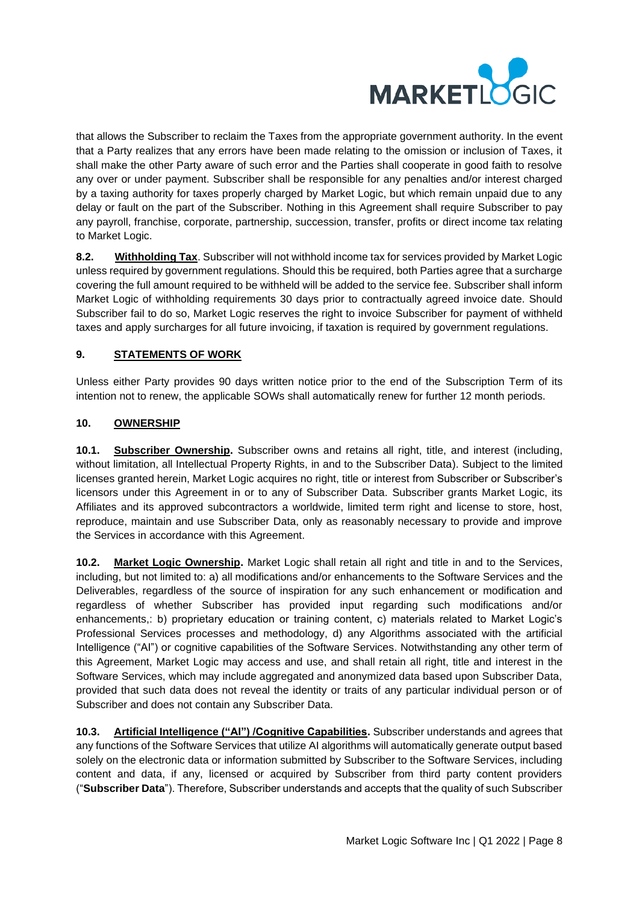

that allows the Subscriber to reclaim the Taxes from the appropriate government authority. In the event that a Party realizes that any errors have been made relating to the omission or inclusion of Taxes, it shall make the other Party aware of such error and the Parties shall cooperate in good faith to resolve any over or under payment. Subscriber shall be responsible for any penalties and/or interest charged by a taxing authority for taxes properly charged by Market Logic, but which remain unpaid due to any delay or fault on the part of the Subscriber. Nothing in this Agreement shall require Subscriber to pay any payroll, franchise, corporate, partnership, succession, transfer, profits or direct income tax relating to Market Logic.

**8.2. Withholding Tax**. Subscriber will not withhold income tax for services provided by Market Logic unless required by government regulations. Should this be required, both Parties agree that a surcharge covering the full amount required to be withheld will be added to the service fee. Subscriber shall inform Market Logic of withholding requirements 30 days prior to contractually agreed invoice date. Should Subscriber fail to do so, Market Logic reserves the right to invoice Subscriber for payment of withheld taxes and apply surcharges for all future invoicing, if taxation is required by government regulations.

# **9. STATEMENTS OF WORK**

Unless either Party provides 90 days written notice prior to the end of the Subscription Term of its intention not to renew, the applicable SOWs shall automatically renew for further 12 month periods.

# **10. OWNERSHIP**

**10.1. Subscriber Ownership.** Subscriber owns and retains all right, title, and interest (including, without limitation, all Intellectual Property Rights, in and to the Subscriber Data). Subject to the limited licenses granted herein, Market Logic acquires no right, title or interest from Subscriber or Subscriber's licensors under this Agreement in or to any of Subscriber Data. Subscriber grants Market Logic, its Affiliates and its approved subcontractors a worldwide, limited term right and license to store, host, reproduce, maintain and use Subscriber Data, only as reasonably necessary to provide and improve the Services in accordance with this Agreement.

**10.2. Market Logic Ownership.** Market Logic shall retain all right and title in and to the Services, including, but not limited to: a) all modifications and/or enhancements to the Software Services and the Deliverables, regardless of the source of inspiration for any such enhancement or modification and regardless of whether Subscriber has provided input regarding such modifications and/or enhancements,: b) proprietary education or training content, c) materials related to Market Logic's Professional Services processes and methodology, d) any Algorithms associated with the artificial Intelligence ("AI") or cognitive capabilities of the Software Services. Notwithstanding any other term of this Agreement, Market Logic may access and use, and shall retain all right, title and interest in the Software Services, which may include aggregated and anonymized data based upon Subscriber Data, provided that such data does not reveal the identity or traits of any particular individual person or of Subscriber and does not contain any Subscriber Data.

**10.3. Artificial Intelligence ("AI") /Cognitive Capabilities.** Subscriber understands and agrees that any functions of the Software Services that utilize AI algorithms will automatically generate output based solely on the electronic data or information submitted by Subscriber to the Software Services, including content and data, if any, licensed or acquired by Subscriber from third party content providers ("**Subscriber Data**"). Therefore, Subscriber understands and accepts that the quality of such Subscriber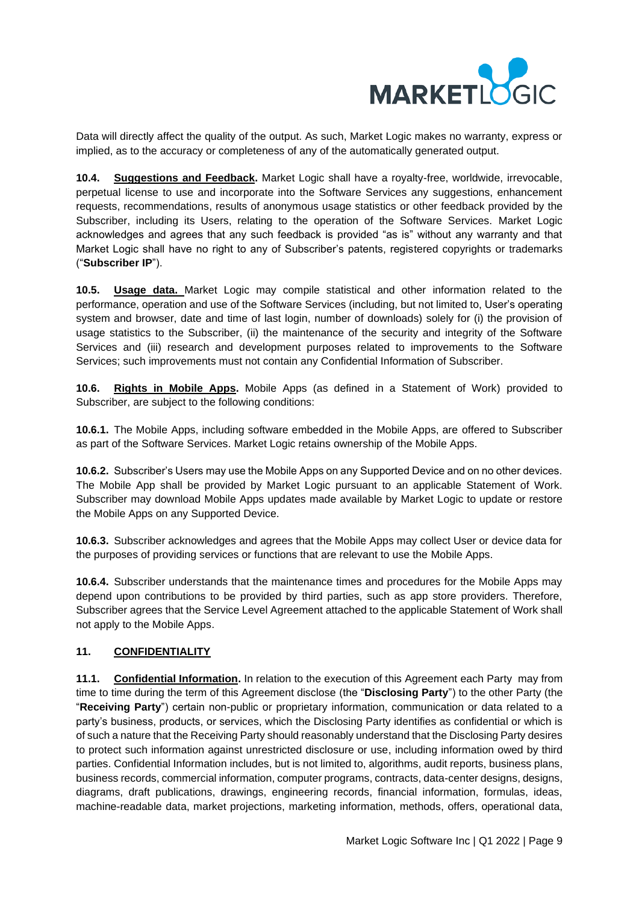

Data will directly affect the quality of the output. As such, Market Logic makes no warranty, express or implied, as to the accuracy or completeness of any of the automatically generated output.

**10.4. Suggestions and Feedback.** Market Logic shall have a royalty-free, worldwide, irrevocable, perpetual license to use and incorporate into the Software Services any suggestions, enhancement requests, recommendations, results of anonymous usage statistics or other feedback provided by the Subscriber, including its Users, relating to the operation of the Software Services. Market Logic acknowledges and agrees that any such feedback is provided "as is" without any warranty and that Market Logic shall have no right to any of Subscriber's patents, registered copyrights or trademarks ("**Subscriber IP**").

**10.5. Usage data.** Market Logic may compile statistical and other information related to the performance, operation and use of the Software Services (including, but not limited to, User's operating system and browser, date and time of last login, number of downloads) solely for (i) the provision of usage statistics to the Subscriber, (ii) the maintenance of the security and integrity of the Software Services and (iii) research and development purposes related to improvements to the Software Services; such improvements must not contain any Confidential Information of Subscriber.

**10.6. Rights in Mobile Apps.** Mobile Apps (as defined in a Statement of Work) provided to Subscriber, are subject to the following conditions:

**10.6.1.** The Mobile Apps, including software embedded in the Mobile Apps, are offered to Subscriber as part of the Software Services. Market Logic retains ownership of the Mobile Apps.

**10.6.2.** Subscriber's Users may use the Mobile Apps on any Supported Device and on no other devices. The Mobile App shall be provided by Market Logic pursuant to an applicable Statement of Work. Subscriber may download Mobile Apps updates made available by Market Logic to update or restore the Mobile Apps on any Supported Device.

**10.6.3.** Subscriber acknowledges and agrees that the Mobile Apps may collect User or device data for the purposes of providing services or functions that are relevant to use the Mobile Apps.

**10.6.4.** Subscriber understands that the maintenance times and procedures for the Mobile Apps may depend upon contributions to be provided by third parties, such as app store providers. Therefore, Subscriber agrees that the Service Level Agreement attached to the applicable Statement of Work shall not apply to the Mobile Apps.

## **11. CONFIDENTIALITY**

**11.1. Confidential Information.** In relation to the execution of this Agreement each Party may from time to time during the term of this Agreement disclose (the "**Disclosing Party**") to the other Party (the "**Receiving Party**") certain non-public or proprietary information, communication or data related to a party's business, products, or services, which the Disclosing Party identifies as confidential or which is of such a nature that the Receiving Party should reasonably understand that the Disclosing Party desires to protect such information against unrestricted disclosure or use, including information owed by third parties. Confidential Information includes, but is not limited to, algorithms, audit reports, business plans, business records, commercial information, computer programs, contracts, data-center designs, designs, diagrams, draft publications, drawings, engineering records, financial information, formulas, ideas, machine-readable data, market projections, marketing information, methods, offers, operational data,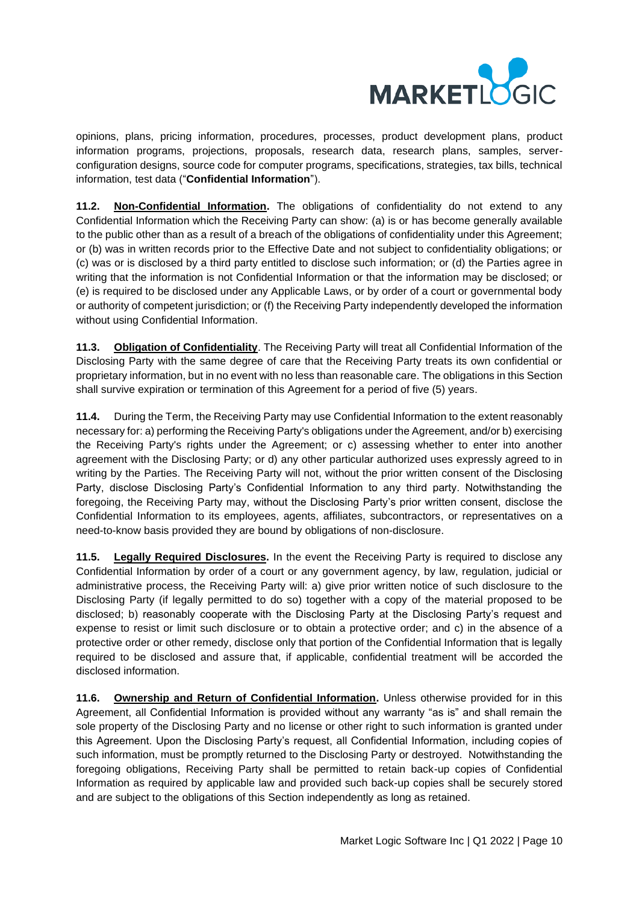

opinions, plans, pricing information, procedures, processes, product development plans, product information programs, projections, proposals, research data, research plans, samples, serverconfiguration designs, source code for computer programs, specifications, strategies, tax bills, technical information, test data ("**Confidential Information**").

**11.2. Non-Confidential Information.** The obligations of confidentiality do not extend to any Confidential Information which the Receiving Party can show: (a) is or has become generally available to the public other than as a result of a breach of the obligations of confidentiality under this Agreement; or (b) was in written records prior to the Effective Date and not subject to confidentiality obligations; or (c) was or is disclosed by a third party entitled to disclose such information; or (d) the Parties agree in writing that the information is not Confidential Information or that the information may be disclosed; or (e) is required to be disclosed under any Applicable Laws, or by order of a court or governmental body or authority of competent jurisdiction; or (f) the Receiving Party independently developed the information without using Confidential Information.

**11.3. Obligation of Confidentiality**. The Receiving Party will treat all Confidential Information of the Disclosing Party with the same degree of care that the Receiving Party treats its own confidential or proprietary information, but in no event with no less than reasonable care. The obligations in this Section shall survive expiration or termination of this Agreement for a period of five (5) years.

**11.4.** During the Term, the Receiving Party may use Confidential Information to the extent reasonably necessary for: a) performing the Receiving Party's obligations under the Agreement, and/or b) exercising the Receiving Party's rights under the Agreement; or c) assessing whether to enter into another agreement with the Disclosing Party; or d) any other particular authorized uses expressly agreed to in writing by the Parties. The Receiving Party will not, without the prior written consent of the Disclosing Party, disclose Disclosing Party's Confidential Information to any third party. Notwithstanding the foregoing, the Receiving Party may, without the Disclosing Party's prior written consent, disclose the Confidential Information to its employees, agents, affiliates, subcontractors, or representatives on a need-to-know basis provided they are bound by obligations of non-disclosure.

**11.5. Legally Required Disclosures.** In the event the Receiving Party is required to disclose any Confidential Information by order of a court or any government agency, by law, regulation, judicial or administrative process, the Receiving Party will: a) give prior written notice of such disclosure to the Disclosing Party (if legally permitted to do so) together with a copy of the material proposed to be disclosed; b) reasonably cooperate with the Disclosing Party at the Disclosing Party's request and expense to resist or limit such disclosure or to obtain a protective order; and c) in the absence of a protective order or other remedy, disclose only that portion of the Confidential Information that is legally required to be disclosed and assure that, if applicable, confidential treatment will be accorded the disclosed information.

**11.6. Ownership and Return of Confidential Information.** Unless otherwise provided for in this Agreement, all Confidential Information is provided without any warranty "as is" and shall remain the sole property of the Disclosing Party and no license or other right to such information is granted under this Agreement. Upon the Disclosing Party's request, all Confidential Information, including copies of such information, must be promptly returned to the Disclosing Party or destroyed. Notwithstanding the foregoing obligations, Receiving Party shall be permitted to retain back-up copies of Confidential Information as required by applicable law and provided such back-up copies shall be securely stored and are subject to the obligations of this Section independently as long as retained.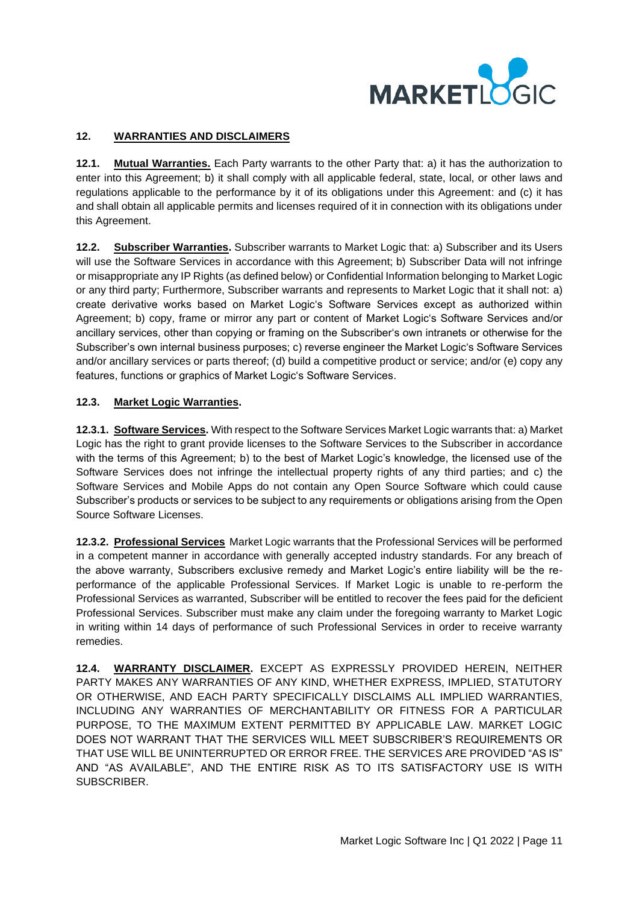

# **12. WARRANTIES AND DISCLAIMERS**

**12.1. Mutual Warranties.** Each Party warrants to the other Party that: a) it has the authorization to enter into this Agreement; b) it shall comply with all applicable federal, state, local, or other laws and regulations applicable to the performance by it of its obligations under this Agreement: and (c) it has and shall obtain all applicable permits and licenses required of it in connection with its obligations under this Agreement.

**12.2. Subscriber Warranties.** Subscriber warrants to Market Logic that: a) Subscriber and its Users will use the Software Services in accordance with this Agreement; b) Subscriber Data will not infringe or misappropriate any IP Rights (as defined below) or Confidential Information belonging to Market Logic or any third party; Furthermore, Subscriber warrants and represents to Market Logic that it shall not: a) create derivative works based on Market Logic's Software Services except as authorized within Agreement; b) copy, frame or mirror any part or content of Market Logic's Software Services and/or ancillary services, other than copying or framing on the Subscriber's own intranets or otherwise for the Subscriber's own internal business purposes; c) reverse engineer the Market Logic's Software Services and/or ancillary services or parts thereof; (d) build a competitive product or service; and/or (e) copy any features, functions or graphics of Market Logic's Software Services.

# **12.3. Market Logic Warranties.**

**12.3.1. Software Services.** With respect to the Software Services Market Logic warrants that: a) Market Logic has the right to grant provide licenses to the Software Services to the Subscriber in accordance with the terms of this Agreement; b) to the best of Market Logic's knowledge, the licensed use of the Software Services does not infringe the intellectual property rights of any third parties; and c) the Software Services and Mobile Apps do not contain any Open Source Software which could cause Subscriber's products or services to be subject to any requirements or obligations arising from the Open Source Software Licenses.

**12.3.2. Professional Services** Market Logic warrants that the Professional Services will be performed in a competent manner in accordance with generally accepted industry standards. For any breach of the above warranty, Subscribers exclusive remedy and Market Logic's entire liability will be the reperformance of the applicable Professional Services. If Market Logic is unable to re-perform the Professional Services as warranted, Subscriber will be entitled to recover the fees paid for the deficient Professional Services. Subscriber must make any claim under the foregoing warranty to Market Logic in writing within 14 days of performance of such Professional Services in order to receive warranty remedies.

**12.4. WARRANTY DISCLAIMER.** EXCEPT AS EXPRESSLY PROVIDED HEREIN, NEITHER PARTY MAKES ANY WARRANTIES OF ANY KIND, WHETHER EXPRESS, IMPLIED, STATUTORY OR OTHERWISE, AND EACH PARTY SPECIFICALLY DISCLAIMS ALL IMPLIED WARRANTIES, INCLUDING ANY WARRANTIES OF MERCHANTABILITY OR FITNESS FOR A PARTICULAR PURPOSE, TO THE MAXIMUM EXTENT PERMITTED BY APPLICABLE LAW. MARKET LOGIC DOES NOT WARRANT THAT THE SERVICES WILL MEET SUBSCRIBER'S REQUIREMENTS OR THAT USE WILL BE UNINTERRUPTED OR ERROR FREE. THE SERVICES ARE PROVIDED "AS IS" AND "AS AVAILABLE", AND THE ENTIRE RISK AS TO ITS SATISFACTORY USE IS WITH SUBSCRIBER.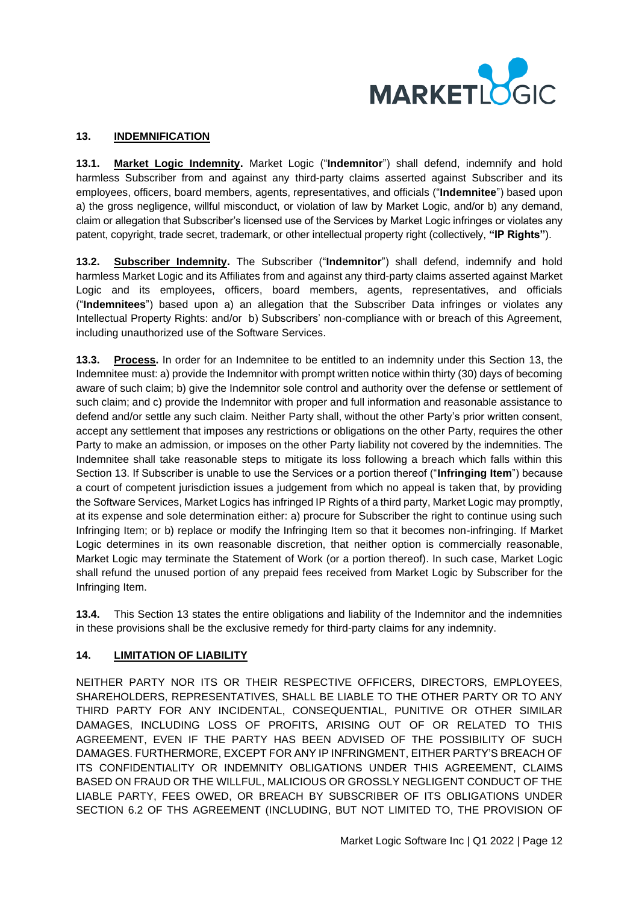

## <span id="page-11-0"></span>**13. INDEMNIFICATION**

**13.1. Market Logic Indemnity.** Market Logic ("**Indemnitor**") shall defend, indemnify and hold harmless Subscriber from and against any third-party claims asserted against Subscriber and its employees, officers, board members, agents, representatives, and officials ("**Indemnitee**") based upon a) the gross negligence, willful misconduct, or violation of law by Market Logic, and/or b) any demand, claim or allegation that Subscriber's licensed use of the Services by Market Logic infringes or violates any patent, copyright, trade secret, trademark, or other intellectual property right (collectively, **"IP Rights"**).

**13.2. Subscriber Indemnity.** The Subscriber ("**Indemnitor**") shall defend, indemnify and hold harmless Market Logic and its Affiliates from and against any third-party claims asserted against Market Logic and its employees, officers, board members, agents, representatives, and officials ("**Indemnitees**") based upon a) an allegation that the Subscriber Data infringes or violates any Intellectual Property Rights: and/or b) Subscribers' non-compliance with or breach of this Agreement, including unauthorized use of the Software Services.

**13.3. Process.** In order for an Indemnitee to be entitled to an indemnity under this Section 13, the Indemnitee must: a) provide the Indemnitor with prompt written notice within thirty (30) days of becoming aware of such claim; b) give the Indemnitor sole control and authority over the defense or settlement of such claim; and c) provide the Indemnitor with proper and full information and reasonable assistance to defend and/or settle any such claim. Neither Party shall, without the other Party's prior written consent, accept any settlement that imposes any restrictions or obligations on the other Party, requires the other Party to make an admission, or imposes on the other Party liability not covered by the indemnities. The Indemnitee shall take reasonable steps to mitigate its loss following a breach which falls within this Section [13.](#page-11-0) If Subscriber is unable to use the Services or a portion thereof ("**Infringing Item**") because a court of competent jurisdiction issues a judgement from which no appeal is taken that, by providing the Software Services, Market Logics has infringed IP Rights of a third party, Market Logic may promptly, at its expense and sole determination either: a) procure for Subscriber the right to continue using such Infringing Item; or b) replace or modify the Infringing Item so that it becomes non-infringing. If Market Logic determines in its own reasonable discretion, that neither option is commercially reasonable, Market Logic may terminate the Statement of Work (or a portion thereof). In such case, Market Logic shall refund the unused portion of any prepaid fees received from Market Logic by Subscriber for the Infringing Item.

**13.4.** This Section [13](#page-11-0) states the entire obligations and liability of the Indemnitor and the indemnities in these provisions shall be the exclusive remedy for third-party claims for any indemnity.

## **14. LIMITATION OF LIABILITY**

NEITHER PARTY NOR ITS OR THEIR RESPECTIVE OFFICERS, DIRECTORS, EMPLOYEES, SHAREHOLDERS, REPRESENTATIVES, SHALL BE LIABLE TO THE OTHER PARTY OR TO ANY THIRD PARTY FOR ANY INCIDENTAL, CONSEQUENTIAL, PUNITIVE OR OTHER SIMILAR DAMAGES, INCLUDING LOSS OF PROFITS, ARISING OUT OF OR RELATED TO THIS AGREEMENT, EVEN IF THE PARTY HAS BEEN ADVISED OF THE POSSIBILITY OF SUCH DAMAGES. FURTHERMORE, EXCEPT FOR ANY IP INFRINGMENT, EITHER PARTY'S BREACH OF ITS CONFIDENTIALITY OR INDEMNITY OBLIGATIONS UNDER THIS AGREEMENT, CLAIMS BASED ON FRAUD OR THE WILLFUL, MALICIOUS OR GROSSLY NEGLIGENT CONDUCT OF THE LIABLE PARTY, FEES OWED, OR BREACH BY SUBSCRIBER OF ITS OBLIGATIONS UNDER SECTION 6.2 OF THS AGREEMENT (INCLUDING, BUT NOT LIMITED TO, THE PROVISION OF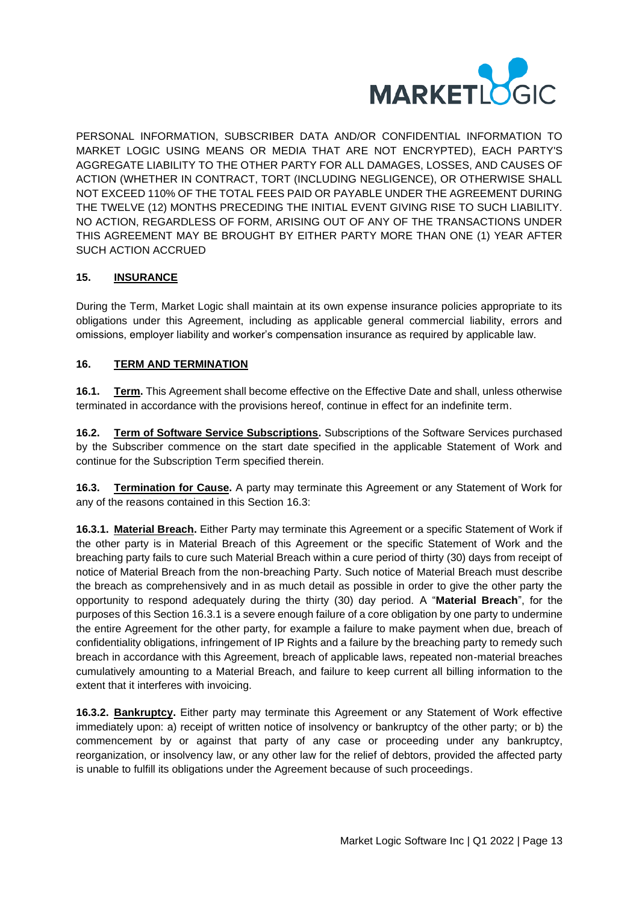

PERSONAL INFORMATION, SUBSCRIBER DATA AND/OR CONFIDENTIAL INFORMATION TO MARKET LOGIC USING MEANS OR MEDIA THAT ARE NOT ENCRYPTED), EACH PARTY'S AGGREGATE LIABILITY TO THE OTHER PARTY FOR ALL DAMAGES, LOSSES, AND CAUSES OF ACTION (WHETHER IN CONTRACT, TORT (INCLUDING NEGLIGENCE), OR OTHERWISE SHALL NOT EXCEED 110% OF THE TOTAL FEES PAID OR PAYABLE UNDER THE AGREEMENT DURING THE TWELVE (12) MONTHS PRECEDING THE INITIAL EVENT GIVING RISE TO SUCH LIABILITY. NO ACTION, REGARDLESS OF FORM, ARISING OUT OF ANY OF THE TRANSACTIONS UNDER THIS AGREEMENT MAY BE BROUGHT BY EITHER PARTY MORE THAN ONE (1) YEAR AFTER SUCH ACTION ACCRUED

# **15. INSURANCE**

During the Term, Market Logic shall maintain at its own expense insurance policies appropriate to its obligations under this Agreement, including as applicable general commercial liability, errors and omissions, employer liability and worker's compensation insurance as required by applicable law.

# **16. TERM AND TERMINATION**

**16.1. Term.** This Agreement shall become effective on the Effective Date and shall, unless otherwise terminated in accordance with the provisions hereof, continue in effect for an indefinite term.

**16.2. Term of Software Service Subscriptions.** Subscriptions of the Software Services purchased by the Subscriber commence on the start date specified in the applicable Statement of Work and continue for the Subscription Term specified therein.

<span id="page-12-1"></span>**16.3. Termination for Cause.** A party may terminate this Agreement or any Statement of Work for any of the reasons contained in this Section 16.3:

<span id="page-12-0"></span>**16.3.1. Material Breach.** Either Party may terminate this Agreement or a specific Statement of Work if the other party is in Material Breach of this Agreement or the specific Statement of Work and the breaching party fails to cure such Material Breach within a cure period of thirty (30) days from receipt of notice of Material Breach from the non-breaching Party. Such notice of Material Breach must describe the breach as comprehensively and in as much detail as possible in order to give the other party the opportunity to respond adequately during the thirty (30) day period. A "**Material Breach**", for the purposes of this Section [16.3.1](#page-12-0) is a severe enough failure of a core obligation by one party to undermine the entire Agreement for the other party, for example a failure to make payment when due, breach of confidentiality obligations, infringement of IP Rights and a failure by the breaching party to remedy such breach in accordance with this Agreement, breach of applicable laws, repeated non-material breaches cumulatively amounting to a Material Breach, and failure to keep current all billing information to the extent that it interferes with invoicing.

**16.3.2. Bankruptcy.** Either party may terminate this Agreement or any Statement of Work effective immediately upon: a) receipt of written notice of insolvency or bankruptcy of the other party; or b) the commencement by or against that party of any case or proceeding under any bankruptcy, reorganization, or insolvency law, or any other law for the relief of debtors, provided the affected party is unable to fulfill its obligations under the Agreement because of such proceedings.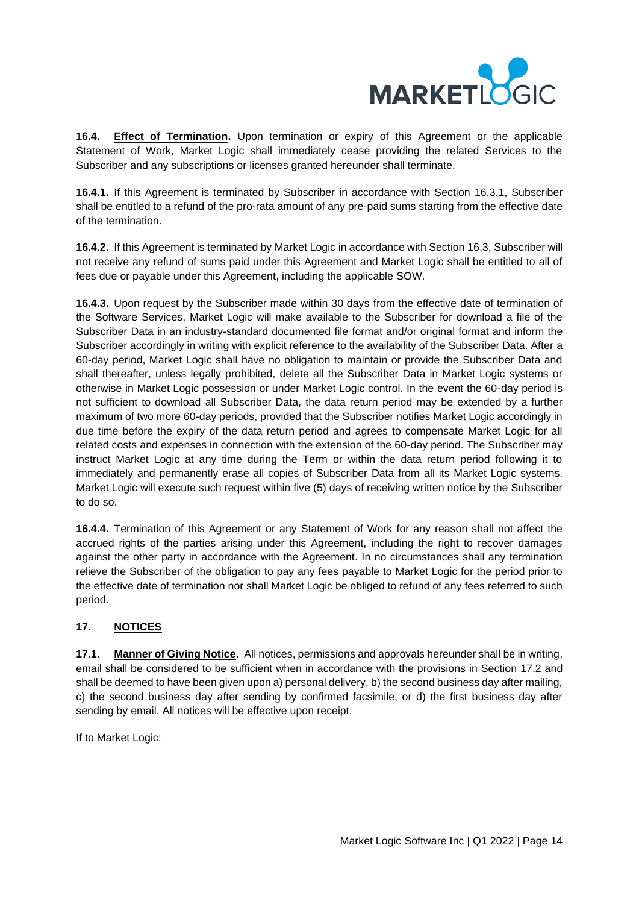

**16.4. Effect of Termination.** Upon termination or expiry of this Agreement or the applicable Statement of Work, Market Logic shall immediately cease providing the related Services to the Subscriber and any subscriptions or licenses granted hereunder shall terminate.

**16.4.1.** If this Agreement is terminated by Subscriber in accordance with Section [16.3.](#page-12-1)1, Subscriber shall be entitled to a refund of the pro-rata amount of any pre-paid sums starting from the effective date of the termination.

**16.4.2.** If this Agreement is terminated by Market Logic in accordance with Sectio[n 16.3,](#page-12-1) Subscriber will not receive any refund of sums paid under this Agreement and Market Logic shall be entitled to all of fees due or payable under this Agreement, including the applicable SOW.

**16.4.3.** Upon request by the Subscriber made within 30 days from the effective date of termination of the Software Services, Market Logic will make available to the Subscriber for download a file of the Subscriber Data in an industry-standard documented file format and/or original format and inform the Subscriber accordingly in writing with explicit reference to the availability of the Subscriber Data. After a 60-day period, Market Logic shall have no obligation to maintain or provide the Subscriber Data and shall thereafter, unless legally prohibited, delete all the Subscriber Data in Market Logic systems or otherwise in Market Logic possession or under Market Logic control. In the event the 60-day period is not sufficient to download all Subscriber Data, the data return period may be extended by a further maximum of two more 60-day periods, provided that the Subscriber notifies Market Logic accordingly in due time before the expiry of the data return period and agrees to compensate Market Logic for all related costs and expenses in connection with the extension of the 60-day period. The Subscriber may instruct Market Logic at any time during the Term or within the data return period following it to immediately and permanently erase all copies of Subscriber Data from all its Market Logic systems. Market Logic will execute such request within five (5) days of receiving written notice by the Subscriber to do so.

**16.4.4.** Termination of this Agreement or any Statement of Work for any reason shall not affect the accrued rights of the parties arising under this Agreement, including the right to recover damages against the other party in accordance with the Agreement. In no circumstances shall any termination relieve the Subscriber of the obligation to pay any fees payable to Market Logic for the period prior to the effective date of termination nor shall Market Logic be obliged to refund of any fees referred to such period.

# **17. NOTICES**

**17.1. Manner of Giving Notice.** All notices, permissions and approvals hereunder shall be in writing, email shall be considered to be sufficient when in accordance with the provisions in Section 17.2 and shall be deemed to have been given upon a) personal delivery, b) the second business day after mailing, c) the second business day after sending by confirmed facsimile, or d) the first business day after sending by email. All notices will be effective upon receipt.

If to Market Logic: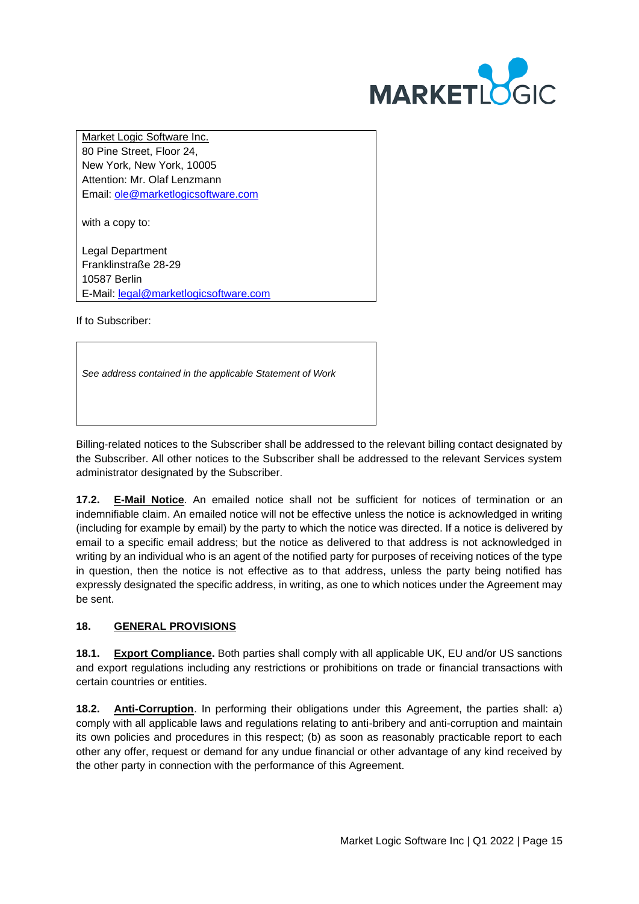

Market Logic Software Inc. 80 Pine Street, Floor 24, New York, New York, 10005 Attention: Mr. Olaf Lenzmann Email: [ole@marketlogicsoftware.com](mailto:ole@marketlogicsoftware.com)

with a copy to:

Legal Department Franklinstraße 28-29 10587 Berlin E-Mail: [legal@marketlogicsoftware.com](mailto:legal@marketlogicsoftware.com)

If to Subscriber:

*See address contained in the applicable Statement of Work*

Billing-related notices to the Subscriber shall be addressed to the relevant billing contact designated by the Subscriber. All other notices to the Subscriber shall be addressed to the relevant Services system administrator designated by the Subscriber.

**17.2. E-Mail Notice**. An emailed notice shall not be sufficient for notices of termination or an indemnifiable claim. An emailed notice will not be effective unless the notice is acknowledged in writing (including for example by email) by the party to which the notice was directed. If a notice is delivered by email to a specific email address; but the notice as delivered to that address is not acknowledged in writing by an individual who is an agent of the notified party for purposes of receiving notices of the type in question, then the notice is not effective as to that address, unless the party being notified has expressly designated the specific address, in writing, as one to which notices under the Agreement may be sent.

# **18. GENERAL PROVISIONS**

**18.1. Export Compliance.** Both parties shall comply with all applicable UK, EU and/or US sanctions and export regulations including any restrictions or prohibitions on trade or financial transactions with certain countries or entities.

**18.2. Anti-Corruption**. In performing their obligations under this Agreement, the parties shall: a) comply with all applicable laws and regulations relating to anti-bribery and anti-corruption and maintain its own policies and procedures in this respect; (b) as soon as reasonably practicable report to each other any offer, request or demand for any undue financial or other advantage of any kind received by the other party in connection with the performance of this Agreement.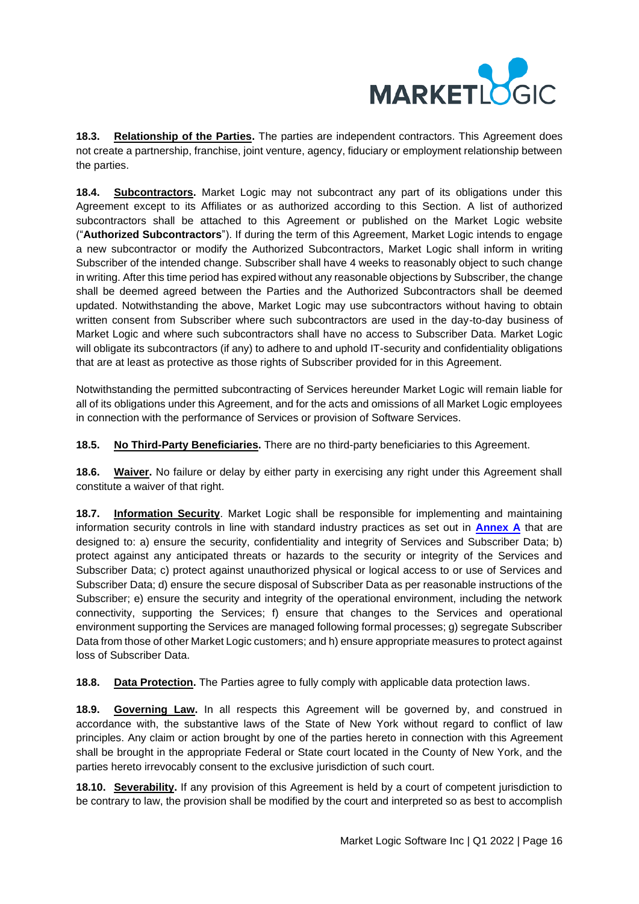

**18.3. Relationship of the Parties.** The parties are independent contractors. This Agreement does not create a partnership, franchise, joint venture, agency, fiduciary or employment relationship between the parties.

**18.4. Subcontractors.** Market Logic may not subcontract any part of its obligations under this Agreement except to its Affiliates or as authorized according to this Section. A list of authorized subcontractors shall be attached to this Agreement or published on the Market Logic website ("**Authorized Subcontractors**"). If during the term of this Agreement, Market Logic intends to engage a new subcontractor or modify the Authorized Subcontractors, Market Logic shall inform in writing Subscriber of the intended change. Subscriber shall have 4 weeks to reasonably object to such change in writing. After this time period has expired without any reasonable objections by Subscriber, the change shall be deemed agreed between the Parties and the Authorized Subcontractors shall be deemed updated. Notwithstanding the above, Market Logic may use subcontractors without having to obtain written consent from Subscriber where such subcontractors are used in the day-to-day business of Market Logic and where such subcontractors shall have no access to Subscriber Data. Market Logic will obligate its subcontractors (if any) to adhere to and uphold IT-security and confidentiality obligations that are at least as protective as those rights of Subscriber provided for in this Agreement.

Notwithstanding the permitted subcontracting of Services hereunder Market Logic will remain liable for all of its obligations under this Agreement, and for the acts and omissions of all Market Logic employees in connection with the performance of Services or provision of Software Services.

**18.5. No Third-Party Beneficiaries.** There are no third-party beneficiaries to this Agreement.

**18.6. Waiver.** No failure or delay by either party in exercising any right under this Agreement shall constitute a waiver of that right.

**18.7. Information Security**. Market Logic shall be responsible for implementing and maintaining information security controls in line with standard industry practices as set out in **[Annex A](#page-17-0)** that are designed to: a) ensure the security, confidentiality and integrity of Services and Subscriber Data; b) protect against any anticipated threats or hazards to the security or integrity of the Services and Subscriber Data; c) protect against unauthorized physical or logical access to or use of Services and Subscriber Data; d) ensure the secure disposal of Subscriber Data as per reasonable instructions of the Subscriber; e) ensure the security and integrity of the operational environment, including the network connectivity, supporting the Services; f) ensure that changes to the Services and operational environment supporting the Services are managed following formal processes; g) segregate Subscriber Data from those of other Market Logic customers; and h) ensure appropriate measures to protect against loss of Subscriber Data.

**18.8. Data Protection.** The Parties agree to fully comply with applicable data protection laws.

**18.9. Governing Law.** In all respects this Agreement will be governed by, and construed in accordance with, the substantive laws of the State of New York without regard to conflict of law principles. Any claim or action brought by one of the parties hereto in connection with this Agreement shall be brought in the appropriate Federal or State court located in the County of New York, and the parties hereto irrevocably consent to the exclusive jurisdiction of such court.

**18.10. Severability.** If any provision of this Agreement is held by a court of competent jurisdiction to be contrary to law, the provision shall be modified by the court and interpreted so as best to accomplish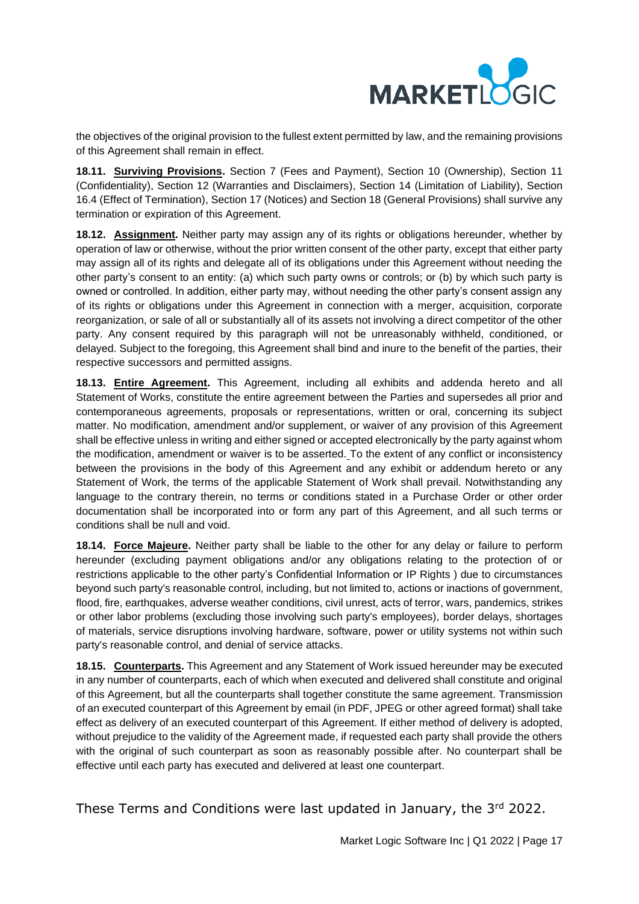

the objectives of the original provision to the fullest extent permitted by law, and the remaining provisions of this Agreement shall remain in effect.

**18.11. Surviving Provisions.** Section 7 (Fees and Payment), Section 10 (Ownership), Section 11 (Confidentiality), Section 12 (Warranties and Disclaimers), Section 14 (Limitation of Liability), Section 16.4 (Effect of Termination), Section 17 (Notices) and Section 18 (General Provisions) shall survive any termination or expiration of this Agreement.

**18.12. Assignment.** Neither party may assign any of its rights or obligations hereunder, whether by operation of law or otherwise, without the prior written consent of the other party, except that either party may assign all of its rights and delegate all of its obligations under this Agreement without needing the other party's consent to an entity: (a) which such party owns or controls; or (b) by which such party is owned or controlled. In addition, either party may, without needing the other party's consent assign any of its rights or obligations under this Agreement in connection with a merger, acquisition, corporate reorganization, or sale of all or substantially all of its assets not involving a direct competitor of the other party. Any consent required by this paragraph will not be unreasonably withheld, conditioned, or delayed. Subject to the foregoing, this Agreement shall bind and inure to the benefit of the parties, their respective successors and permitted assigns.

**18.13. Entire Agreement.** This Agreement, including all exhibits and addenda hereto and all Statement of Works, constitute the entire agreement between the Parties and supersedes all prior and contemporaneous agreements, proposals or representations, written or oral, concerning its subject matter. No modification, amendment and/or supplement, or waiver of any provision of this Agreement shall be effective unless in writing and either signed or accepted electronically by the party against whom the modification, amendment or waiver is to be asserted. To the extent of any conflict or inconsistency between the provisions in the body of this Agreement and any exhibit or addendum hereto or any Statement of Work, the terms of the applicable Statement of Work shall prevail. Notwithstanding any language to the contrary therein, no terms or conditions stated in a Purchase Order or other order documentation shall be incorporated into or form any part of this Agreement, and all such terms or conditions shall be null and void.

**18.14. Force Majeure.** Neither party shall be liable to the other for any delay or failure to perform hereunder (excluding payment obligations and/or any obligations relating to the protection of or restrictions applicable to the other party's Confidential Information or IP Rights ) due to circumstances beyond such party's reasonable control, including, but not limited to, actions or inactions of government, flood, fire, earthquakes, adverse weather conditions, civil unrest, acts of terror, wars, pandemics, strikes or other labor problems (excluding those involving such party's employees), border delays, shortages of materials, service disruptions involving hardware, software, power or utility systems not within such party's reasonable control, and denial of service attacks.

**18.15. Counterparts.** This Agreement and any Statement of Work issued hereunder may be executed in any number of counterparts, each of which when executed and delivered shall constitute and original of this Agreement, but all the counterparts shall together constitute the same agreement. Transmission of an executed counterpart of this Agreement by email (in PDF, JPEG or other agreed format) shall take effect as delivery of an executed counterpart of this Agreement. If either method of delivery is adopted, without prejudice to the validity of the Agreement made, if requested each party shall provide the others with the original of such counterpart as soon as reasonably possible after. No counterpart shall be effective until each party has executed and delivered at least one counterpart.

These Terms and Conditions were last updated in January, the 3rd 2022.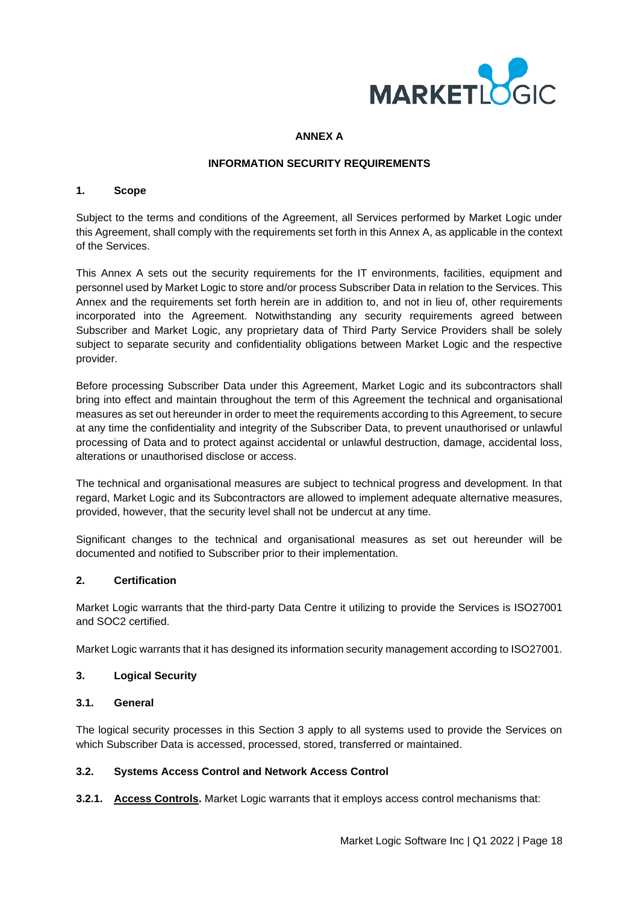

### **ANNEX A**

## **INFORMATION SECURITY REQUIREMENTS**

#### <span id="page-17-0"></span>**1. Scope**

Subject to the terms and conditions of the Agreement, all Services performed by Market Logic under this Agreement, shall comply with the requirements set forth in this Annex A, as applicable in the context of the Services.

This Annex A sets out the security requirements for the IT environments, facilities, equipment and personnel used by Market Logic to store and/or process Subscriber Data in relation to the Services. This Annex and the requirements set forth herein are in addition to, and not in lieu of, other requirements incorporated into the Agreement. Notwithstanding any security requirements agreed between Subscriber and Market Logic, any proprietary data of Third Party Service Providers shall be solely subject to separate security and confidentiality obligations between Market Logic and the respective provider.

Before processing Subscriber Data under this Agreement, Market Logic and its subcontractors shall bring into effect and maintain throughout the term of this Agreement the technical and organisational measures as set out hereunder in order to meet the requirements according to this Agreement, to secure at any time the confidentiality and integrity of the Subscriber Data, to prevent unauthorised or unlawful processing of Data and to protect against accidental or unlawful destruction, damage, accidental loss, alterations or unauthorised disclose or access.

The technical and organisational measures are subject to technical progress and development. In that regard, Market Logic and its Subcontractors are allowed to implement adequate alternative measures, provided, however, that the security level shall not be undercut at any time.

Significant changes to the technical and organisational measures as set out hereunder will be documented and notified to Subscriber prior to their implementation.

### **2. Certification**

Market Logic warrants that the third-party Data Centre it utilizing to provide the Services is ISO27001 and SOC2 certified.

Market Logic warrants that it has designed its information security management according to ISO27001.

## **3. Logical Security**

### **3.1. General**

The logical security processes in this Section 3 apply to all systems used to provide the Services on which Subscriber Data is accessed, processed, stored, transferred or maintained.

### **3.2. Systems Access Control and Network Access Control**

**3.2.1. Access Controls.** Market Logic warrants that it employs access control mechanisms that: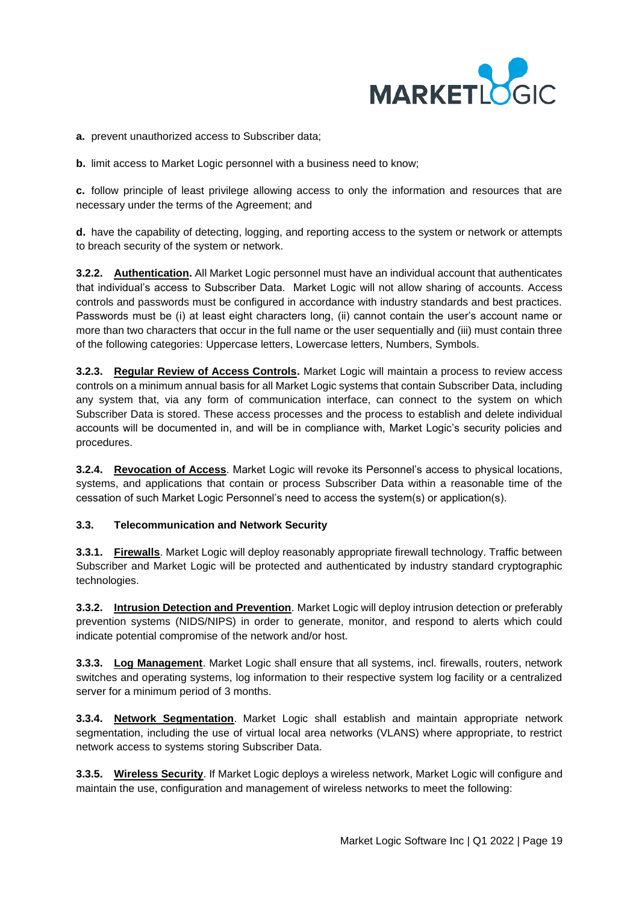

**a.** prevent unauthorized access to Subscriber data;

**b.** limit access to Market Logic personnel with a business need to know;

**c.** follow principle of least privilege allowing access to only the information and resources that are necessary under the terms of the Agreement; and

**d.** have the capability of detecting, logging, and reporting access to the system or network or attempts to breach security of the system or network.

**3.2.2. Authentication.** All Market Logic personnel must have an individual account that authenticates that individual's access to Subscriber Data. Market Logic will not allow sharing of accounts. Access controls and passwords must be configured in accordance with industry standards and best practices. Passwords must be (i) at least eight characters long, (ii) cannot contain the user's account name or more than two characters that occur in the full name or the user sequentially and (iii) must contain three of the following categories: Uppercase letters, Lowercase letters, Numbers, Symbols.

**3.2.3. Regular Review of Access Controls.** Market Logic will maintain a process to review access controls on a minimum annual basis for all Market Logic systems that contain Subscriber Data, including any system that, via any form of communication interface, can connect to the system on which Subscriber Data is stored. These access processes and the process to establish and delete individual accounts will be documented in, and will be in compliance with, Market Logic's security policies and procedures.

**3.2.4. Revocation of Access**. Market Logic will revoke its Personnel's access to physical locations, systems, and applications that contain or process Subscriber Data within a reasonable time of the cessation of such Market Logic Personnel's need to access the system(s) or application(s).

### **3.3. Telecommunication and Network Security**

**3.3.1. Firewalls**. Market Logic will deploy reasonably appropriate firewall technology. Traffic between Subscriber and Market Logic will be protected and authenticated by industry standard cryptographic technologies.

**3.3.2. Intrusion Detection and Prevention**. Market Logic will deploy intrusion detection or preferably prevention systems (NIDS/NIPS) in order to generate, monitor, and respond to alerts which could indicate potential compromise of the network and/or host.

**3.3.3. Log Management**. Market Logic shall ensure that all systems, incl. firewalls, routers, network switches and operating systems, log information to their respective system log facility or a centralized server for a minimum period of 3 months.

**3.3.4. Network Segmentation**. Market Logic shall establish and maintain appropriate network segmentation, including the use of virtual local area networks (VLANS) where appropriate, to restrict network access to systems storing Subscriber Data.

**3.3.5. Wireless Security**. If Market Logic deploys a wireless network, Market Logic will configure and maintain the use, configuration and management of wireless networks to meet the following: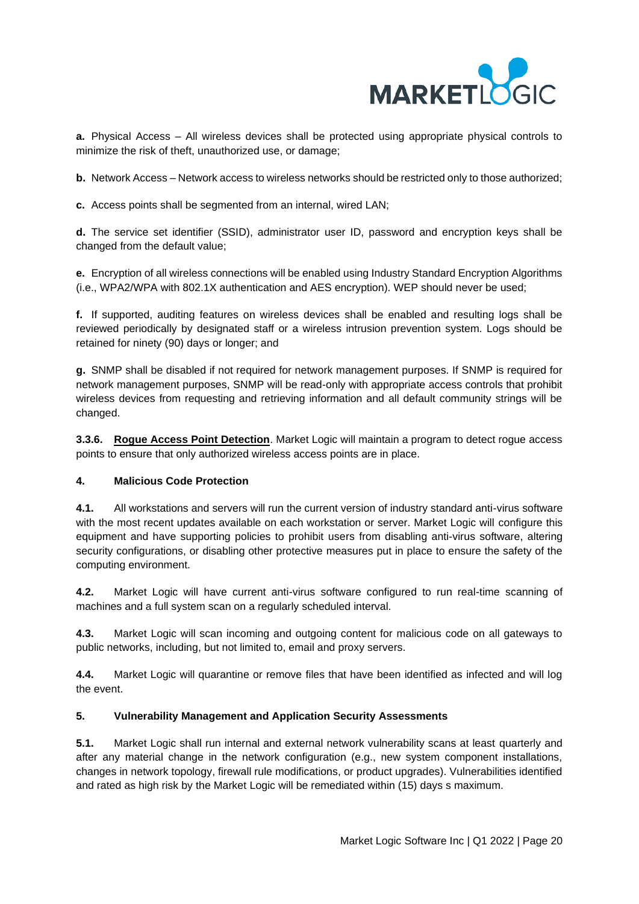

**a.** Physical Access – All wireless devices shall be protected using appropriate physical controls to minimize the risk of theft, unauthorized use, or damage;

**b.** Network Access – Network access to wireless networks should be restricted only to those authorized;

**c.** Access points shall be segmented from an internal, wired LAN;

**d.** The service set identifier (SSID), administrator user ID, password and encryption keys shall be changed from the default value;

**e.** Encryption of all wireless connections will be enabled using Industry Standard Encryption Algorithms (i.e., WPA2/WPA with 802.1X authentication and AES encryption). WEP should never be used;

**f.** If supported, auditing features on wireless devices shall be enabled and resulting logs shall be reviewed periodically by designated staff or a wireless intrusion prevention system. Logs should be retained for ninety (90) days or longer; and

**g.** SNMP shall be disabled if not required for network management purposes. If SNMP is required for network management purposes, SNMP will be read-only with appropriate access controls that prohibit wireless devices from requesting and retrieving information and all default community strings will be changed.

**3.3.6. Rogue Access Point Detection**. Market Logic will maintain a program to detect rogue access points to ensure that only authorized wireless access points are in place.

### **4. Malicious Code Protection**

**4.1.** All workstations and servers will run the current version of industry standard anti-virus software with the most recent updates available on each workstation or server. Market Logic will configure this equipment and have supporting policies to prohibit users from disabling anti-virus software, altering security configurations, or disabling other protective measures put in place to ensure the safety of the computing environment.

**4.2.** Market Logic will have current anti-virus software configured to run real-time scanning of machines and a full system scan on a regularly scheduled interval.

**4.3.** Market Logic will scan incoming and outgoing content for malicious code on all gateways to public networks, including, but not limited to, email and proxy servers.

**4.4.** Market Logic will quarantine or remove files that have been identified as infected and will log the event.

## **5. Vulnerability Management and Application Security Assessments**

**5.1.** Market Logic shall run internal and external network vulnerability scans at least quarterly and after any material change in the network configuration (e.g., new system component installations, changes in network topology, firewall rule modifications, or product upgrades). Vulnerabilities identified and rated as high risk by the Market Logic will be remediated within (15) days s maximum.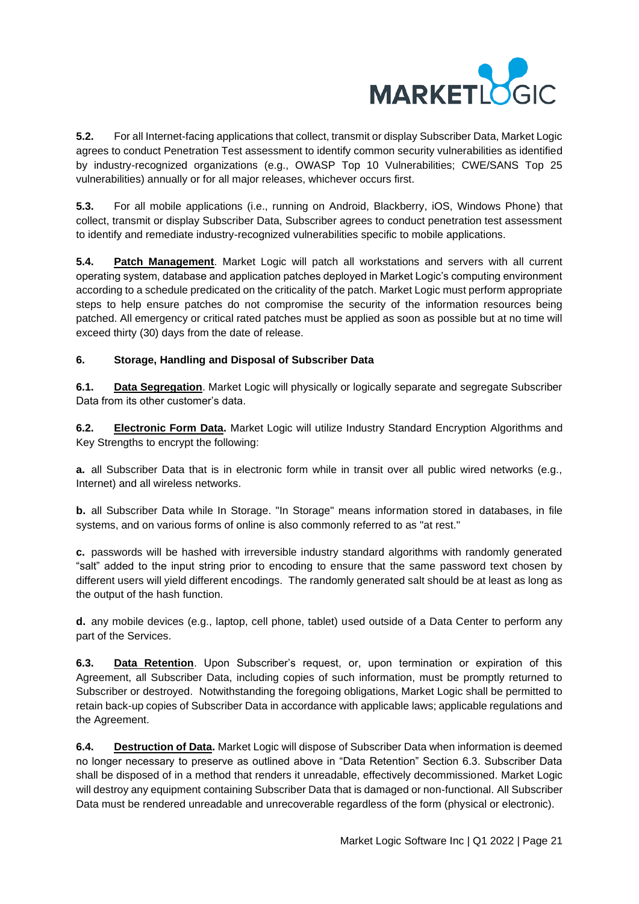

**5.2.** For all Internet-facing applications that collect, transmit or display Subscriber Data, Market Logic agrees to conduct Penetration Test assessment to identify common security vulnerabilities as identified by industry-recognized organizations (e.g., OWASP Top 10 Vulnerabilities; CWE/SANS Top 25 vulnerabilities) annually or for all major releases, whichever occurs first.

**5.3.** For all mobile applications (i.e., running on Android, Blackberry, iOS, Windows Phone) that collect, transmit or display Subscriber Data, Subscriber agrees to conduct penetration test assessment to identify and remediate industry-recognized vulnerabilities specific to mobile applications.

**5.4. Patch Management**. Market Logic will patch all workstations and servers with all current operating system, database and application patches deployed in Market Logic's computing environment according to a schedule predicated on the criticality of the patch. Market Logic must perform appropriate steps to help ensure patches do not compromise the security of the information resources being patched. All emergency or critical rated patches must be applied as soon as possible but at no time will exceed thirty (30) days from the date of release.

# **6. Storage, Handling and Disposal of Subscriber Data**

**6.1. Data Segregation**. Market Logic will physically or logically separate and segregate Subscriber Data from its other customer's data.

**6.2. Electronic Form Data.** Market Logic will utilize Industry Standard Encryption Algorithms and Key Strengths to encrypt the following:

**a.** all Subscriber Data that is in electronic form while in transit over all public wired networks (e.g., Internet) and all wireless networks.

**b.** all Subscriber Data while In Storage. "In Storage" means information stored in databases, in file systems, and on various forms of online is also commonly referred to as "at rest."

**c.** passwords will be hashed with irreversible industry standard algorithms with randomly generated "salt" added to the input string prior to encoding to ensure that the same password text chosen by different users will yield different encodings. The randomly generated salt should be at least as long as the output of the hash function.

**d.** any mobile devices (e.g., laptop, cell phone, tablet) used outside of a Data Center to perform any part of the Services.

**6.3. Data Retention**. Upon Subscriber's request, or, upon termination or expiration of this Agreement, all Subscriber Data, including copies of such information, must be promptly returned to Subscriber or destroyed. Notwithstanding the foregoing obligations, Market Logic shall be permitted to retain back-up copies of Subscriber Data in accordance with applicable laws; applicable regulations and the Agreement.

**6.4. Destruction of Data.** Market Logic will dispose of Subscriber Data when information is deemed no longer necessary to preserve as outlined above in "Data Retention" Section 6.3. Subscriber Data shall be disposed of in a method that renders it unreadable, effectively decommissioned. Market Logic will destroy any equipment containing Subscriber Data that is damaged or non-functional. All Subscriber Data must be rendered unreadable and unrecoverable regardless of the form (physical or electronic).